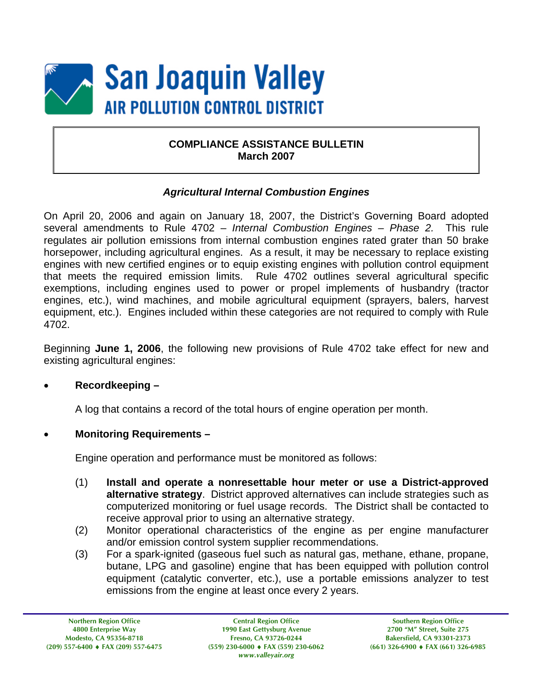

### **COMPLIANCE ASSISTANCE BULLETIN March 2007**

### *Agricultural Internal Combustion Engines*

On April 20, 2006 and again on January 18, 2007, the District's Governing Board adopted several amendments to Rule 4702 – *Internal Combustion Engines – Phase 2.* This rule regulates air pollution emissions from internal combustion engines rated grater than 50 brake horsepower, including agricultural engines. As a result, it may be necessary to replace existing engines with new certified engines or to equip existing engines with pollution control equipment that meets the required emission limits. Rule 4702 outlines several agricultural specific exemptions, including engines used to power or propel implements of husbandry (tractor engines, etc.), wind machines, and mobile agricultural equipment (sprayers, balers, harvest equipment, etc.). Engines included within these categories are not required to comply with Rule 4702.

Beginning **June 1, 2006**, the following new provisions of Rule 4702 take effect for new and existing agricultural engines:

### • **Recordkeeping –**

A log that contains a record of the total hours of engine operation per month.

### • **Monitoring Requirements –**

Engine operation and performance must be monitored as follows:

- (1) **Install and operate a nonresettable hour meter or use a District-approved alternative strategy**. District approved alternatives can include strategies such as computerized monitoring or fuel usage records. The District shall be contacted to receive approval prior to using an alternative strategy.
- (2) Monitor operational characteristics of the engine as per engine manufacturer and/or emission control system supplier recommendations.
- (3) For a spark-ignited (gaseous fuel such as natural gas, methane, ethane, propane, butane, LPG and gasoline) engine that has been equipped with pollution control equipment (catalytic converter, etc.), use a portable emissions analyzer to test emissions from the engine at least once every 2 years.

**Central Region Office 1990 East Gettysburg Avenue Fresno, CA 93726-0244 (559) 230-6000** ♦ **FAX (559) 230-6062**  *www.valleyair.org* 

**Southern Region Office 2700 "M" Street, Suite 275 Bakersfield, CA 93301-2373 (661) 326-6900** ♦ **FAX (661) 326-6985**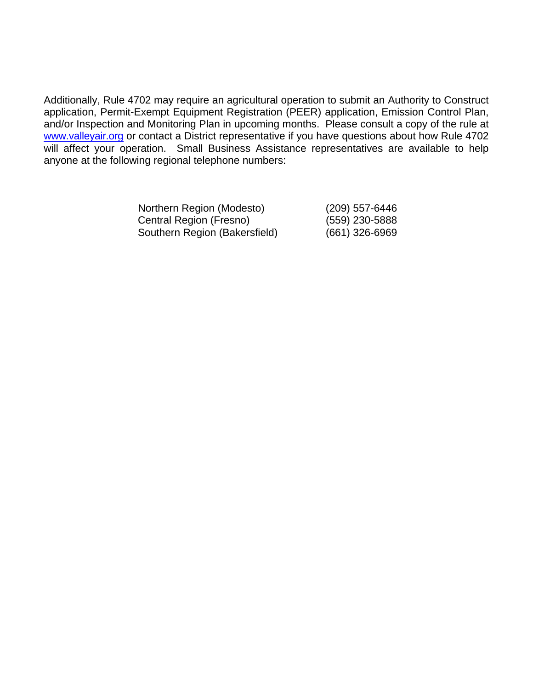Additionally, Rule 4702 may require an agricultural operation to submit an Authority to Construct application, Permit-Exempt Equipment Registration (PEER) application, Emission Control Plan, and/or Inspection and Monitoring Plan in upcoming months. Please consult a copy of the rule at [www.valleyair.org](http://www.valleyair.org/) or contact a District representative if you have questions about how Rule 4702 will affect your operation. Small Business Assistance representatives are available to help anyone at the following regional telephone numbers:

| Northern Region (Modesto)     | (209) 557-6446 |
|-------------------------------|----------------|
| Central Region (Fresno)       | (559) 230-5888 |
| Southern Region (Bakersfield) | (661) 326-6969 |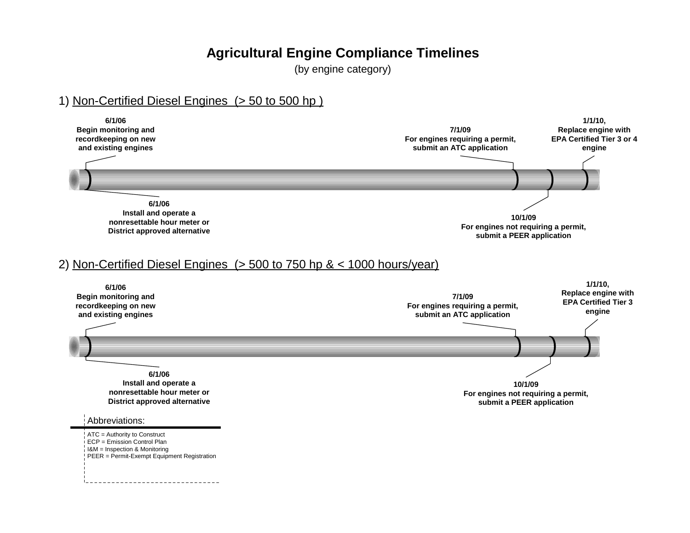## **Agricultural Engine Compliance Timelines**

(by engine category)

### 1) Non-Certified Diesel Engines (> 50 to 500 hp )

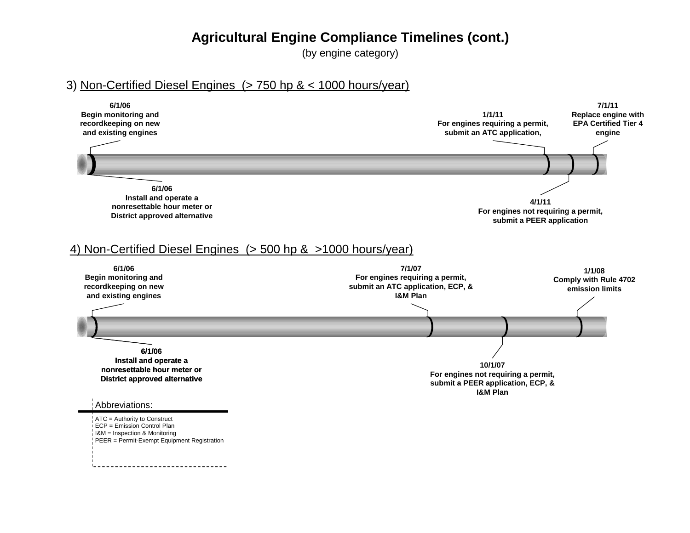### **Agricultural Engine Compliance Timelines (cont.)**

(by engine category)

### 3) Non-Certified Diesel Engines (> 750 hp & < 1000 hours/year)